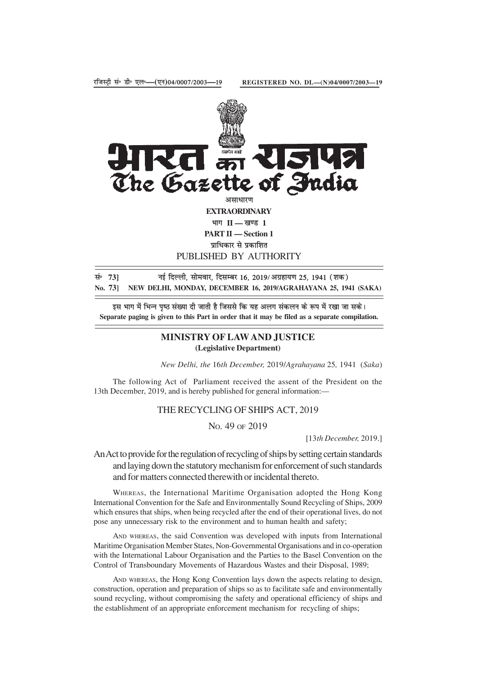

प्राधिकार से प्रकाशित

PUBLISHED BY AUTHORITY

सं<sup>6</sup> 73] **नई दिल्ली, सोमवार, दिसम्बर 16, 2019/अग्रहायण 25, 1941 (शक) No. 73] NEW DELHI, MONDAY, DECEMBER 16, 2019/AGRAHAYANA 25, 1941 (SAKA)**

इस भाग में भिन्न पृष्ठ संख्या दी जाती है जिससे कि यह अलग संकलन के रूप में रखा जा सके। **Separate paging is given to this Part in order that it may be filed as a separate compilation.**

# **MINISTRY OF LAW AND JUSTICE (Legislative Department)**

*New Delhi, the* 16*th December,* 2019/*Agrahayana* 25*,* 1941 (*Saka*)

The following Act of Parliament received the assent of the President on the 13th December, 2019, and is hereby published for general information:—

# THE RECYCLING OF SHIPS ACT, 2019

NO. 49 OF 2019

[13*th December,* 2019.]

An Act to provide for the regulation of recycling of ships by setting certain standards and laying down the statutory mechanism for enforcement of such standards and for matters connected therewith or incidental thereto.

WHEREAS, the International Maritime Organisation adopted the Hong Kong International Convention for the Safe and Environmentally Sound Recycling of Ships, 2009 which ensures that ships, when being recycled after the end of their operational lives, do not pose any unnecessary risk to the environment and to human health and safety;

AND WHEREAS, the said Convention was developed with inputs from International Maritime Organisation Member States, Non-Governmental Organisations and in co-operation with the International Labour Organisation and the Parties to the Basel Convention on the Control of Transboundary Movements of Hazardous Wastes and their Disposal, 1989;

AND WHEREAS, the Hong Kong Convention lays down the aspects relating to design, construction, operation and preparation of ships so as to facilitate safe and environmentally sound recycling, without compromising the safety and operational efficiency of ships and the establishment of an appropriate enforcement mechanism for recycling of ships;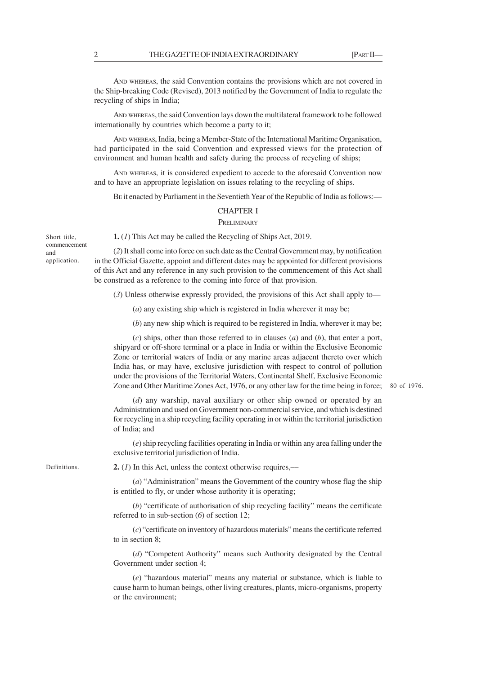AND WHEREAS, the said Convention contains the provisions which are not covered in the Ship-breaking Code (Revised), 2013 notified by the Government of India to regulate the recycling of ships in India;

AND WHEREAS, the said Convention lays down the multilateral framework to be followed internationally by countries which become a party to it;

AND WHEREAS, India, being a Member-State of the International Maritime Organisation, had participated in the said Convention and expressed views for the protection of environment and human health and safety during the process of recycling of ships;

AND WHEREAS, it is considered expedient to accede to the aforesaid Convention now and to have an appropriate legislation on issues relating to the recycling of ships.

BE it enacted by Parliament in the Seventieth Year of the Republic of India as follows:—

# CHAPTER I

# **PRELIMINARY**

Short title, commencement and application.

(*2*) It shall come into force on such date as the Central Government may, by notification in the Official Gazette, appoint and different dates may be appointed for different provisions of this Act and any reference in any such provision to the commencement of this Act shall

**1.** (*1*) This Act may be called the Recycling of Ships Act, 2019.

be construed as a reference to the coming into force of that provision.

(*3*) Unless otherwise expressly provided, the provisions of this Act shall apply to—

(*a*) any existing ship which is registered in India wherever it may be;

(*b*) any new ship which is required to be registered in India, wherever it may be;

(*c*) ships, other than those referred to in clauses (*a*) and (*b*), that enter a port, shipyard or off-shore terminal or a place in India or within the Exclusive Economic Zone or territorial waters of India or any marine areas adjacent thereto over which India has, or may have, exclusive jurisdiction with respect to control of pollution under the provisions of the Territorial Waters, Continental Shelf, Exclusive Economic Zone and Other Maritime Zones Act, 1976, or any other law for the time being in force;

80 of 1976.

(*d*) any warship, naval auxiliary or other ship owned or operated by an Administration and used on Government non-commercial service, and which is destined for recycling in a ship recycling facility operating in or within the territorial jurisdiction of India; and

(*e*) ship recycling facilities operating in India or within any area falling under the exclusive territorial jurisdiction of India.

Definitions.

**2.** (*1*) In this Act, unless the context otherwise requires,––

(*a*) "Administration" means the Government of the country whose flag the ship is entitled to fly, or under whose authority it is operating;

(*b*) "certificate of authorisation of ship recycling facility" means the certificate referred to in sub-section (*6*) of section 12;

(*c*) "certificate on inventory of hazardous materials" means the certificate referred to in section 8;

(*d*) "Competent Authority" means such Authority designated by the Central Government under section 4;

(*e*) "hazardous material" means any material or substance, which is liable to cause harm to human beings, other living creatures, plants, micro-organisms, property or the environment;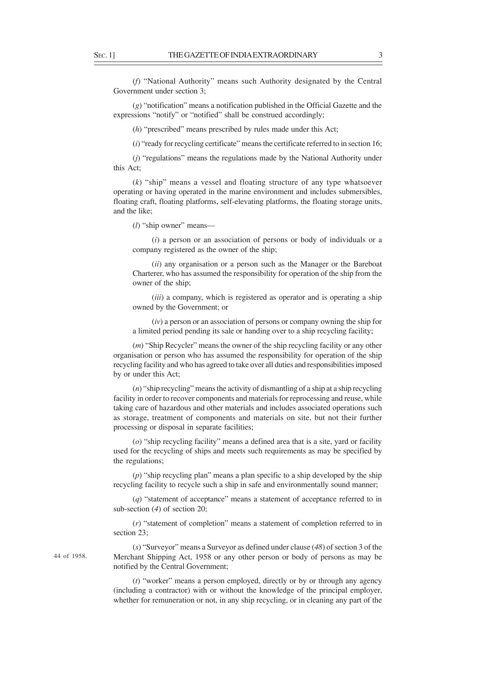(*f*) "National Authority" means such Authority designated by the Central Government under section 3;

(*g*) "notification" means a notification published in the Official Gazette and the expressions "notify" or "notified" shall be construed accordingly;

(*h*) "prescribed" means prescribed by rules made under this Act;

(*i*) "ready for recycling certificate" means the certificate referred to in section 16;

(*j*) "regulations" means the regulations made by the National Authority under this Act;

(*k*) "ship" means a vessel and floating structure of any type whatsoever operating or having operated in the marine environment and includes submersibles, floating craft, floating platforms, self-elevating platforms, the floating storage units, and the like;

(*l*) "ship owner" means––

(*i*) a person or an association of persons or body of individuals or a company registered as the owner of the ship;

(*ii*) any organisation or a person such as the Manager or the Bareboat Charterer, who has assumed the responsibility for operation of the ship from the owner of the ship;

(*iii*) a company, which is registered as operator and is operating a ship owned by the Government; or

(*iv*) a person or an association of persons or company owning the ship for a limited period pending its sale or handing over to a ship recycling facility;

(*m*) "Ship Recycler" means the owner of the ship recycling facility or any other organisation or person who has assumed the responsibility for operation of the ship recycling facility and who has agreed to take over all duties and responsibilities imposed by or under this Act;

(*n*) "ship recycling" means the activity of dismantling of a ship at a ship recycling facility in order to recover components and materials for reprocessing and reuse, while taking care of hazardous and other materials and includes associated operations such as storage, treatment of components and materials on site, but not their further processing or disposal in separate facilities;

(*o*) "ship recycling facility" means a defined area that is a site, yard or facility used for the recycling of ships and meets such requirements as may be specified by the regulations;

(*p*) "ship recycling plan" means a plan specific to a ship developed by the ship recycling facility to recycle such a ship in safe and environmentally sound manner;

(*q*) "statement of acceptance" means a statement of acceptance referred to in sub-section (*4*) of section 20;

(*r*) "statement of completion" means a statement of completion referred to in section 23;

44 of 1958.

(*s*) "Surveyor" means a Surveyor as defined under clause (*48*) of section 3 of the Merchant Shipping Act, 1958 or any other person or body of persons as may be notified by the Central Government;

(*t*) "worker" means a person employed, directly or by or through any agency (including a contractor) with or without the knowledge of the principal employer, whether for remuneration or not, in any ship recycling, or in cleaning any part of the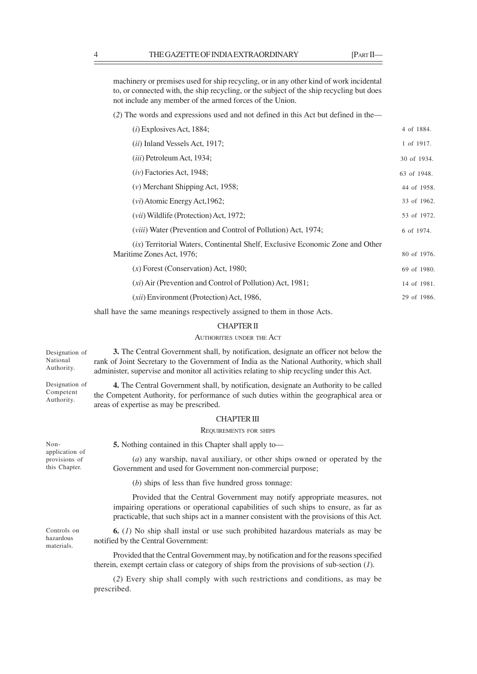machinery or premises used for ship recycling, or in any other kind of work incidental to, or connected with, the ship recycling, or the subject of the ship recycling but does not include any member of the armed forces of the Union.

(*2*) The words and expressions used and not defined in this Act but defined in the––

| $(i)$ Explosives Act, 1884;                                                                                       | 4 of 1884.  |
|-------------------------------------------------------------------------------------------------------------------|-------------|
| <i>(ii)</i> Inland Vessels Act, 1917;                                                                             | 1 of 1917.  |
| <i>(iii)</i> Petroleum Act, 1934;                                                                                 | 30 of 1934. |
| $(iv)$ Factories Act, 1948;                                                                                       | 63 of 1948. |
| $(v)$ Merchant Shipping Act, 1958;                                                                                | 44 of 1958. |
| $(vi)$ Atomic Energy Act, 1962;                                                                                   | 33 of 1962. |
| $(vii)$ Wildlife (Protection) Act, 1972;                                                                          | 53 of 1972. |
| <i>(viii)</i> Water <i>(Prevention and Control of Pollution)</i> Act, 1974;                                       | 6 of 1974.  |
| <i>(ix)</i> Territorial Waters, Continental Shelf, Exclusive Economic Zone and Other<br>Maritime Zones Act, 1976; | 80 of 1976. |
| $(x)$ Forest (Conservation) Act, 1980;                                                                            | 69 of 1980. |
| $(x_i)$ Air (Prevention and Control of Pollution) Act, 1981;                                                      | 14 of 1981. |
| ( <i>xii</i> ) Environment (Protection) Act, 1986,                                                                | 29 of 1986. |
|                                                                                                                   |             |

shall have the same meanings respectively assigned to them in those Acts.

## CHAPTER II

# AUTHORITIES UNDER THE ACT

**3.** The Central Government shall, by notification, designate an officer not below the rank of Joint Secretary to the Government of India as the National Authority, which shall administer, supervise and monitor all activities relating to ship recycling under this Act. **4.** The Central Government shall, by notification, designate an Authority to be called the Competent Authority, for performance of such duties within the geographical area or areas of expertise as may be prescribed. CHAPTER III REQUIREMENTS FOR SHIPS **5.** Nothing contained in this Chapter shall apply to— (*a*) any warship, naval auxiliary, or other ships owned or operated by the Government and used for Government non-commercial purpose; (*b*) ships of less than five hundred gross tonnage: Provided that the Central Government may notify appropriate measures, not impairing operations or operational capabilities of such ships to ensure, as far as practicable, that such ships act in a manner consistent with the provisions of this Act. **6.** (*1*) No ship shall instal or use such prohibited hazardous materials as may be notified by the Central Government: Provided that the Central Government may, by notification and for the reasons specified therein, exempt certain class or category of ships from the provisions of sub-section (*1*). (*2*) Every ship shall comply with such restrictions and conditions, as may be Designation of National Authority. Designation of Competent Authority. Nonapplication of provisions of this Chapter. Controls on hazardous materials.

prescribed.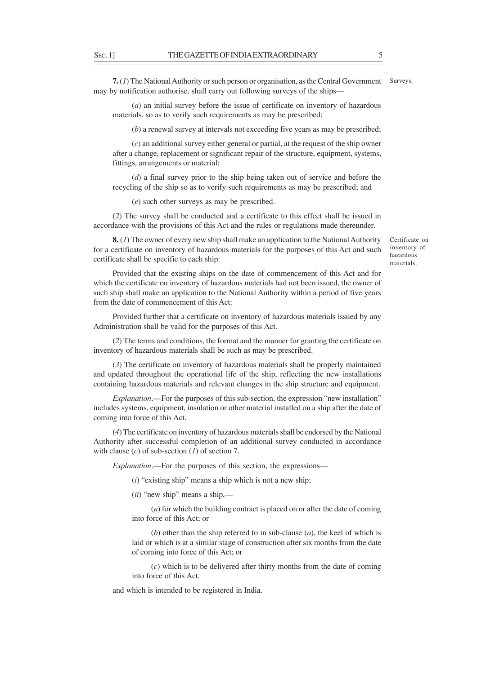**7.** (*1*) The National Authority or such person or organisation, as the Central Government may by notification authorise, shall carry out following surveys of the ships–– Surveys.

(*a*) an initial survey before the issue of certificate on inventory of hazardous materials, so as to verify such requirements as may be prescribed;

(*b*) a renewal survey at intervals not exceeding five years as may be prescribed;

(*c*) an additional survey either general or partial, at the request of the ship owner after a change, replacement or significant repair of the structure, equipment, systems, fittings, arrangements or material;

(*d*) a final survey prior to the ship being taken out of service and before the recycling of the ship so as to verify such requirements as may be prescribed; and

(*e*) such other surveys as may be prescribed.

(*2*) The survey shall be conducted and a certificate to this effect shall be issued in accordance with the provisions of this Act and the rules or regulations made thereunder.

**8.** (*1*) The owner of every new ship shall make an application to the National Authority for a certificate on inventory of hazardous materials for the purposes of this Act and such certificate shall be specific to each ship:

Certificate on inventory of hazardous materials.

Provided that the existing ships on the date of commencement of this Act and for which the certificate on inventory of hazardous materials had not been issued, the owner of such ship shall make an application to the National Authority within a period of five years from the date of commencement of this Act:

Provided further that a certificate on inventory of hazardous materials issued by any Administration shall be valid for the purposes of this Act.

(*2*) The terms and conditions, the format and the manner for granting the certificate on inventory of hazardous materials shall be such as may be prescribed.

(*3*) The certificate on inventory of hazardous materials shall be properly maintained and updated throughout the operational life of the ship, reflecting the new installations containing hazardous materials and relevant changes in the ship structure and equipment.

*Explanation*.—For the purposes of this sub-section, the expression "new installation" includes systems, equipment, insulation or other material installed on a ship after the date of coming into force of this Act.

(*4*) The certificate on inventory of hazardous materials shall be endorsed by the National Authority after successful completion of an additional survey conducted in accordance with clause (*c*) of sub-section (*1*) of section 7.

*Explanation*.––For the purposes of this section, the expressions––

(*i*) "existing ship" means a ship which is not a new ship;

(*ii*) "new ship" means a ship,––

(*a*) for which the building contract is placed on or after the date of coming into force of this Act; or

(*b*) other than the ship referred to in sub-clause (*a*), the keel of which is laid or which is at a similar stage of construction after six months from the date of coming into force of this Act; or

(*c*) which is to be delivered after thirty months from the date of coming into force of this Act,

and which is intended to be registered in India.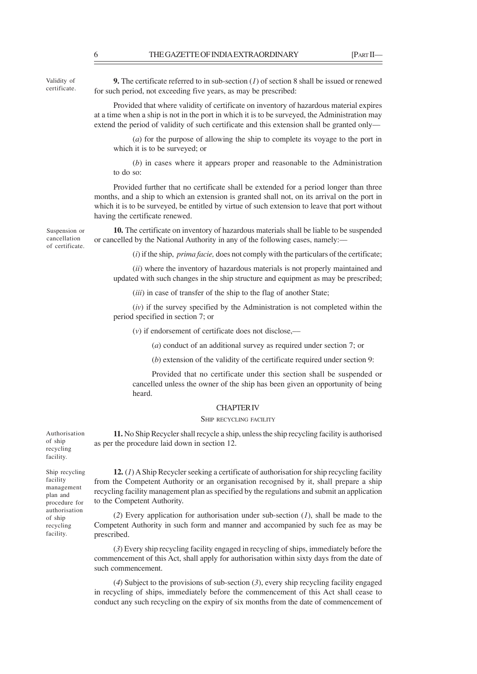Validity of certificate.

**9.** The certificate referred to in sub-section (*1*) of section 8 shall be issued or renewed for such period, not exceeding five years, as may be prescribed:

Provided that where validity of certificate on inventory of hazardous material expires at a time when a ship is not in the port in which it is to be surveyed, the Administration may extend the period of validity of such certificate and this extension shall be granted only––

(*a*) for the purpose of allowing the ship to complete its voyage to the port in which it is to be surveyed; or

(*b*) in cases where it appears proper and reasonable to the Administration to do so:

Provided further that no certificate shall be extended for a period longer than three months, and a ship to which an extension is granted shall not, on its arrival on the port in which it is to be surveyed, be entitled by virtue of such extension to leave that port without having the certificate renewed.

Suspension or cancellation of certificate.

**10.** The certificate on inventory of hazardous materials shall be liable to be suspended or cancelled by the National Authority in any of the following cases, namely:––

(*i*) if the ship, *prima facie,* does not comply with the particulars of the certificate;

(*ii*) where the inventory of hazardous materials is not properly maintained and updated with such changes in the ship structure and equipment as may be prescribed;

(*iii*) in case of transfer of the ship to the flag of another State;

(*iv*) if the survey specified by the Administration is not completed within the period specified in section 7; or

(*v*) if endorsement of certificate does not disclose,––

(*a*) conduct of an additional survey as required under section 7; or

(*b*) extension of the validity of the certificate required under section 9:

Provided that no certificate under this section shall be suspended or cancelled unless the owner of the ship has been given an opportunity of being heard.

## CHAPTER IV

## SHIP RECYCLING FACILITY

**11.** No Ship Recycler shall recycle a ship, unless the ship recycling facility is authorised as per the procedure laid down in section 12.

Authorisation of ship recycling facility.

Ship recycling facility management plan and procedure for authorisation of ship recycling facility.

**12.** (*1*) A Ship Recycler seeking a certificate of authorisation for ship recycling facility from the Competent Authority or an organisation recognised by it, shall prepare a ship recycling facility management plan as specified by the regulations and submit an application to the Competent Authority.

(*2*) Every application for authorisation under sub-section (*1*), shall be made to the Competent Authority in such form and manner and accompanied by such fee as may be prescribed.

(*3*) Every ship recycling facility engaged in recycling of ships, immediately before the commencement of this Act, shall apply for authorisation within sixty days from the date of such commencement.

(*4*) Subject to the provisions of sub-section (*3*), every ship recycling facility engaged in recycling of ships, immediately before the commencement of this Act shall cease to conduct any such recycling on the expiry of six months from the date of commencement of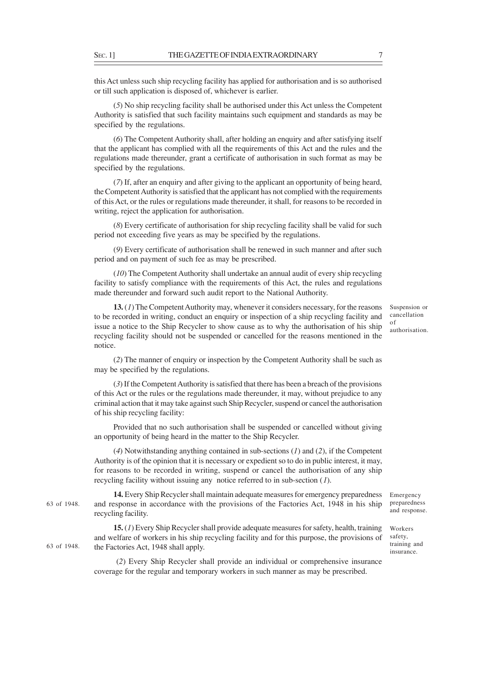this Act unless such ship recycling facility has applied for authorisation and is so authorised or till such application is disposed of, whichever is earlier.

(*5*) No ship recycling facility shall be authorised under this Act unless the Competent Authority is satisfied that such facility maintains such equipment and standards as may be specified by the regulations.

(*6*) The Competent Authority shall, after holding an enquiry and after satisfying itself that the applicant has complied with all the requirements of this Act and the rules and the regulations made thereunder, grant a certificate of authorisation in such format as may be specified by the regulations.

(*7*) If, after an enquiry and after giving to the applicant an opportunity of being heard, the Competent Authority is satisfied that the applicant has not complied with the requirements of this Act, or the rules or regulations made thereunder, it shall, for reasons to be recorded in writing, reject the application for authorisation.

(*8*) Every certificate of authorisation for ship recycling facility shall be valid for such period not exceeding five years as may be specified by the regulations.

(*9*) Every certificate of authorisation shall be renewed in such manner and after such period and on payment of such fee as may be prescribed.

(*10*) The Competent Authority shall undertake an annual audit of every ship recycling facility to satisfy compliance with the requirements of this Act, the rules and regulations made thereunder and forward such audit report to the National Authority.

**13.** (*1*) The Competent Authority may, whenever it considers necessary, for the reasons to be recorded in writing, conduct an enquiry or inspection of a ship recycling facility and issue a notice to the Ship Recycler to show cause as to why the authorisation of his ship recycling facility should not be suspended or cancelled for the reasons mentioned in the notice.

(*2*) The manner of enquiry or inspection by the Competent Authority shall be such as may be specified by the regulations.

(*3*) If the Competent Authority is satisfied that there has been a breach of the provisions of this Act or the rules or the regulations made thereunder, it may, without prejudice to any criminal action that it may take against such Ship Recycler, suspend or cancel the authorisation of his ship recycling facility:

Provided that no such authorisation shall be suspended or cancelled without giving an opportunity of being heard in the matter to the Ship Recycler.

(*4*) Notwithstanding anything contained in sub-sections (*1*) and (*2*), if the Competent Authority is of the opinion that it is necessary or expedient so to do in public interest, it may, for reasons to be recorded in writing, suspend or cancel the authorisation of any ship recycling facility without issuing any notice referred to in sub-section (*1*).

**14.** Every Ship Recycler shall maintain adequate measures for emergency preparedness and response in accordance with the provisions of the Factories Act, 1948 in his ship recycling facility. 63 of 1948.

> **15.** (*1*) Every Ship Recycler shall provide adequate measures for safety, health, training and welfare of workers in his ship recycling facility and for this purpose, the provisions of the Factories Act, 1948 shall apply.

> (*2*) Every Ship Recycler shall provide an individual or comprehensive insurance coverage for the regular and temporary workers in such manner as may be prescribed.

Suspension or cancellation of authorisation.

Emergency preparedness and response.

Workers safety, training and insurance.

63 of 1948.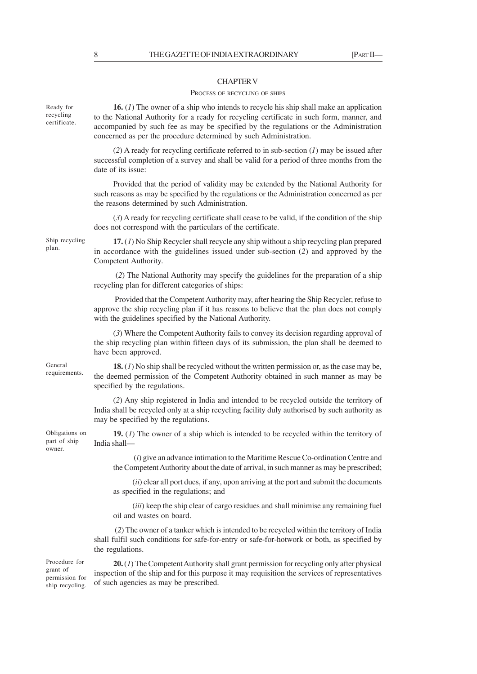# CHAPTER V

# PROCESS OF RECYCLING OF SHIPS

**16.** (*1*) The owner of a ship who intends to recycle his ship shall make an application to the National Authority for a ready for recycling certificate in such form, manner, and accompanied by such fee as may be specified by the regulations or the Administration concerned as per the procedure determined by such Administration.

(*2*) A ready for recycling certificate referred to in sub-section (*1*) may be issued after successful completion of a survey and shall be valid for a period of three months from the date of its issue:

Provided that the period of validity may be extended by the National Authority for such reasons as may be specified by the regulations or the Administration concerned as per the reasons determined by such Administration.

(*3*) A ready for recycling certificate shall cease to be valid, if the condition of the ship does not correspond with the particulars of the certificate.

Ship recycling

**17.** (*1*) No Ship Recycler shall recycle any ship without a ship recycling plan prepared in accordance with the guidelines issued under sub-section (*2*) and approved by the Competent Authority.

 (*2*) The National Authority may specify the guidelines for the preparation of a ship recycling plan for different categories of ships:

 Provided that the Competent Authority may, after hearing the Ship Recycler, refuse to approve the ship recycling plan if it has reasons to believe that the plan does not comply with the guidelines specified by the National Authority.

(*3*) Where the Competent Authority fails to convey its decision regarding approval of the ship recycling plan within fifteen days of its submission, the plan shall be deemed to have been approved.

General requirements.

Obligations on part of ship owner.

**18.** (*1*) No ship shall be recycled without the written permission or, as the case may be, the deemed permission of the Competent Authority obtained in such manner as may be specified by the regulations.

(*2*) Any ship registered in India and intended to be recycled outside the territory of India shall be recycled only at a ship recycling facility duly authorised by such authority as may be specified by the regulations.

**19.** (*1*) The owner of a ship which is intended to be recycled within the territory of India shall—

 (*i*) give an advance intimation to the Maritime Rescue Co-ordination Centre and the Competent Authority about the date of arrival, in such manner as may be prescribed;

(*ii*) clear all port dues, if any, upon arriving at the port and submit the documents as specified in the regulations; and

(*iii*) keep the ship clear of cargo residues and shall minimise any remaining fuel oil and wastes on board.

 (*2*) The owner of a tanker which is intended to be recycled within the territory of India shall fulfil such conditions for safe-for-entry or safe-for-hotwork or both, as specified by the regulations.

Procedure for grant of permission for ship recycling.

**20.** (*1*) The Competent Authority shall grant permission for recycling only after physical inspection of the ship and for this purpose it may requisition the services of representatives of such agencies as may be prescribed.

Ready for recycling certificate.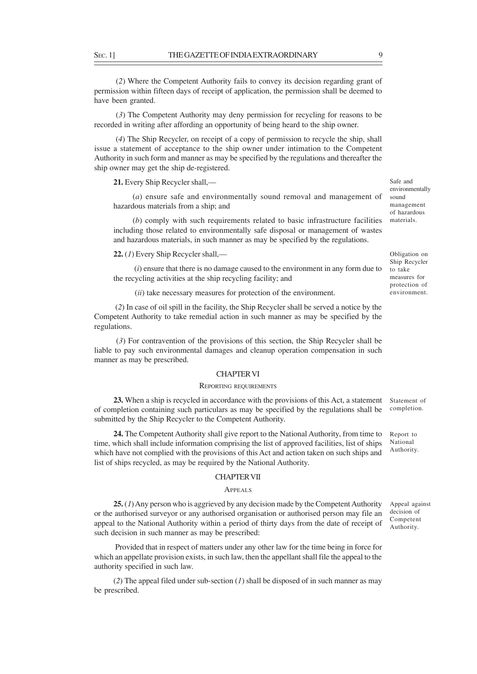(*2*) Where the Competent Authority fails to convey its decision regarding grant of permission within fifteen days of receipt of application, the permission shall be deemed to have been granted.

 (*3*) The Competent Authority may deny permission for recycling for reasons to be recorded in writing after affording an opportunity of being heard to the ship owner.

 (*4*) The Ship Recycler, on receipt of a copy of permission to recycle the ship, shall issue a statement of acceptance to the ship owner under intimation to the Competent Authority in such form and manner as may be specified by the regulations and thereafter the ship owner may get the ship de-registered.

**21.** Every Ship Recycler shall,—

(*a*) ensure safe and environmentally sound removal and management of hazardous materials from a ship; and

(*b*) comply with such requirements related to basic infrastructure facilities including those related to environmentally safe disposal or management of wastes and hazardous materials, in such manner as may be specified by the regulations.

**22.** (*1*) Every Ship Recycler shall,—

 (*i*) ensure that there is no damage caused to the environment in any form due to the recycling activities at the ship recycling facility; and

(*ii*) take necessary measures for protection of the environment.

 (*2*) In case of oil spill in the facility, the Ship Recycler shall be served a notice by the Competent Authority to take remedial action in such manner as may be specified by the regulations.

 (*3*) For contravention of the provisions of this section, the Ship Recycler shall be liable to pay such environmental damages and cleanup operation compensation in such manner as may be prescribed.

# CHAPTER VI

### REPORTING REQUIREMENTS

**23.** When a ship is recycled in accordance with the provisions of this Act, a statement of completion containing such particulars as may be specified by the regulations shall be submitted by the Ship Recycler to the Competent Authority.

**24.** The Competent Authority shall give report to the National Authority, from time to time, which shall include information comprising the list of approved facilities, list of ships which have not complied with the provisions of this Act and action taken on such ships and list of ships recycled, as may be required by the National Authority.

# CHAPTER VII

# **APPEALS**

**25.** (*1*) Any person who is aggrieved by any decision made by the Competent Authority or the authorised surveyor or any authorised organisation or authorised person may file an appeal to the National Authority within a period of thirty days from the date of receipt of such decision in such manner as may be prescribed:

 Provided that in respect of matters under any other law for the time being in force for which an appellate provision exists, in such law, then the appellant shall file the appeal to the authority specified in such law.

(*2*) The appeal filed under sub-section (*1*) shall be disposed of in such manner as may be prescribed.

Statement of completion.

Report to National Authority.

Appeal against decision of Competent Authority.

Safe and environmentally sound management of hazardous materials.

Obligation on Ship Recycler to take measures for protection of environment.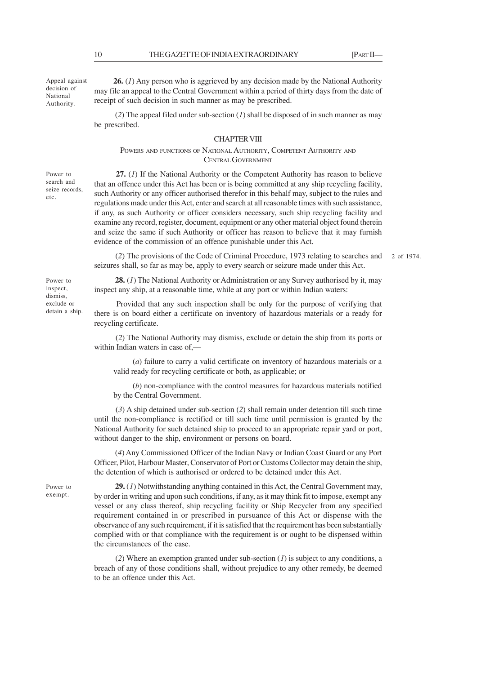Appeal against decision of National Authority.

**26.** (*1*) Any person who is aggrieved by any decision made by the National Authority may file an appeal to the Central Government within a period of thirty days from the date of receipt of such decision in such manner as may be prescribed.

 (*2*) The appeal filed under sub-section (*1*) shall be disposed of in such manner as may be prescribed.

# CHAPTER VIII

POWERS AND FUNCTIONS OF NATIONAL AUTHORITY, COMPETENT AUTHORITY AND CENTRAL GOVERNMENT

Power to search and seize records, etc.

 **27.** (*1*) If the National Authority or the Competent Authority has reason to believe that an offence under this Act has been or is being committed at any ship recycling facility, such Authority or any officer authorised therefor in this behalf may, subject to the rules and regulations made under this Act, enter and search at all reasonable times with such assistance, if any, as such Authority or officer considers necessary, such ship recycling facility and examine any record, register, document, equipment or any other material object found therein and seize the same if such Authority or officer has reason to believe that it may furnish evidence of the commission of an offence punishable under this Act.

 (*2*) The provisions of the Code of Criminal Procedure, 1973 relating to searches and seizures shall, so far as may be, apply to every search or seizure made under this Act. 2 of 1974.

Power to inspect, dismiss, exclude or detain a ship.

**28.** (*1*) The National Authority or Administration or any Survey authorised by it, may inspect any ship, at a reasonable time, while at any port or within Indian waters:

 Provided that any such inspection shall be only for the purpose of verifying that there is on board either a certificate on inventory of hazardous materials or a ready for recycling certificate.

 (*2*) The National Authority may dismiss, exclude or detain the ship from its ports or within Indian waters in case of,—

(*a*) failure to carry a valid certificate on inventory of hazardous materials or a valid ready for recycling certificate or both, as applicable; or

(*b*) non-compliance with the control measures for hazardous materials notified by the Central Government.

 (*3*) A ship detained under sub-section (*2*) shall remain under detention till such time until the non-compliance is rectified or till such time until permission is granted by the National Authority for such detained ship to proceed to an appropriate repair yard or port, without danger to the ship, environment or persons on board.

 (*4*) Any Commissioned Officer of the Indian Navy or Indian Coast Guard or any Port Officer, Pilot, Harbour Master, Conservator of Port or Customs Collector may detain the ship, the detention of which is authorised or ordered to be detained under this Act.

Power to exempt.

**29.** (*1*) Notwithstanding anything contained in this Act, the Central Government may, by order in writing and upon such conditions, if any, as it may think fit to impose, exempt any vessel or any class thereof, ship recycling facility or Ship Recycler from any specified requirement contained in or prescribed in pursuance of this Act or dispense with the observance of any such requirement, if it is satisfied that the requirement has been substantially complied with or that compliance with the requirement is or ought to be dispensed within the circumstances of the case.

 (*2*) Where an exemption granted under sub-section (*1*) is subject to any conditions, a breach of any of those conditions shall, without prejudice to any other remedy, be deemed to be an offence under this Act.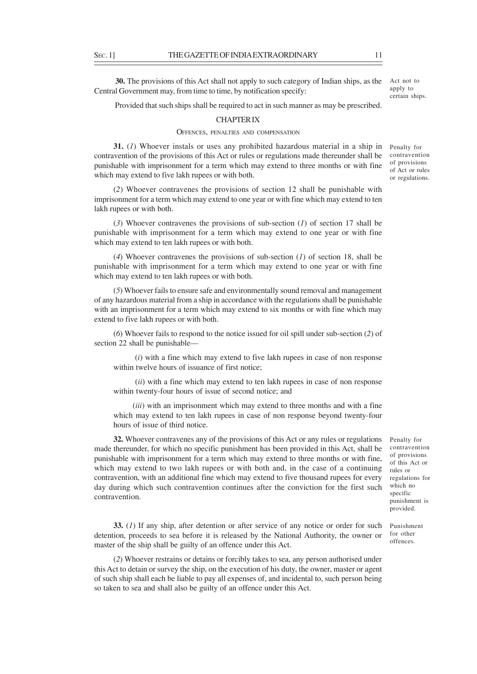**30.** The provisions of this Act shall not apply to such category of Indian ships, as the Central Government may, from time to time, by notification specify: Act not to apply to certain ships.

Provided that such ships shall be required to act in such manner as may be prescribed.

# CHAPTER IX

#### OFFENCES, PENALTIES AND COMPENSATION

**31.** (*1*) Whoever instals or uses any prohibited hazardous material in a ship in contravention of the provisions of this Act or rules or regulations made thereunder shall be punishable with imprisonment for a term which may extend to three months or with fine which may extend to five lakh rupees or with both.

(*2*) Whoever contravenes the provisions of section 12 shall be punishable with imprisonment for a term which may extend to one year or with fine which may extend to ten lakh rupees or with both.

(*3*) Whoever contravenes the provisions of sub-section (*1*) of section 17 shall be punishable with imprisonment for a term which may extend to one year or with fine which may extend to ten lakh rupees or with both.

(*4*) Whoever contravenes the provisions of sub-section (*1*) of section 18, shall be punishable with imprisonment for a term which may extend to one year or with fine which may extend to ten lakh rupees or with both.

(*5*) Whoever fails to ensure safe and environmentally sound removal and management of any hazardous material from a ship in accordance with the regulations shall be punishable with an imprisonment for a term which may extend to six months or with fine which may extend to five lakh rupees or with both.

(*6*) Whoever fails to respond to the notice issued for oil spill under sub-section (*2*) of section 22 shall be punishable—

 (*i*) with a fine which may extend to five lakh rupees in case of non response within twelve hours of issuance of first notice;

 (*ii*) with a fine which may extend to ten lakh rupees in case of non response within twenty-four hours of issue of second notice; and

(*iii*) with an imprisonment which may extend to three months and with a fine which may extend to ten lakh rupees in case of non response beyond twenty-four hours of issue of third notice.

**32.** Whoever contravenes any of the provisions of this Act or any rules or regulations made thereunder, for which no specific punishment has been provided in this Act, shall be punishable with imprisonment for a term which may extend to three months or with fine, which may extend to two lakh rupees or with both and, in the case of a continuing contravention, with an additional fine which may extend to five thousand rupees for every day during which such contravention continues after the conviction for the first such contravention.

**33.** (*1*) If any ship, after detention or after service of any notice or order for such detention, proceeds to sea before it is released by the National Authority, the owner or master of the ship shall be guilty of an offence under this Act.

(*2*) Whoever restrains or detains or forcibly takes to sea, any person authorised under this Act to detain or survey the ship, on the execution of his duty, the owner, master or agent of such ship shall each be liable to pay all expenses of, and incidental to, such person being so taken to sea and shall also be guilty of an offence under this Act.

Penalty for contravention of provisions of this Act or rules or regulations for which no specific punishment is provided.

Punishment for other offences.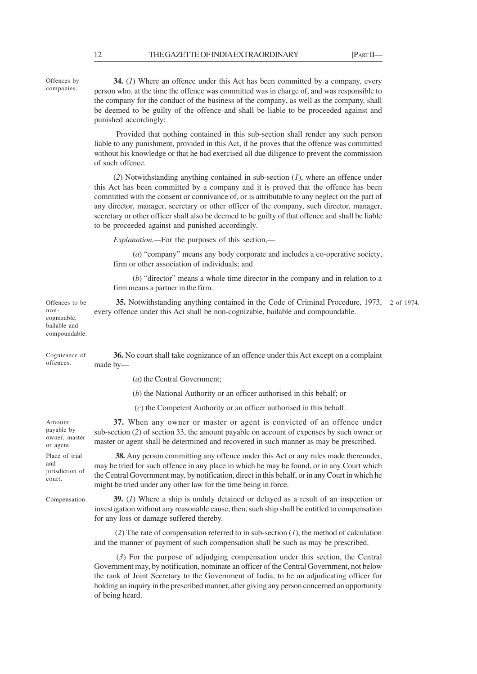**34.** (*1*) Where an offence under this Act has been committed by a company, every person who, at the time the offence was committed was in charge of, and was responsible to the company for the conduct of the business of the company, as well as the company, shall be deemed to be guilty of the offence and shall be liable to be proceeded against and punished accordingly:

 Provided that nothing contained in this sub-section shall render any such person liable to any punishment, provided in this Act, if he proves that the offence was committed without his knowledge or that he had exercised all due diligence to prevent the commission of such offence.

(*2*) Notwithstanding anything contained in sub-section (*1*), where an offence under this Act has been committed by a company and it is proved that the offence has been committed with the consent or connivance of, or is attributable to any neglect on the part of any director, manager, secretary or other officer of the company, such director, manager, secretary or other officer shall also be deemed to be guilty of that offence and shall be liable to be proceeded against and punished accordingly.

*Explanation.—*For the purposes of this section,—

(*a*) "company" means any body corporate and includes a co-operative society, firm or other association of individuals; and

(*b*) "director" means a whole time director in the company and in relation to a firm means a partner in the firm.

| Offences to be<br>non-<br>cognizable,<br>bailable and<br>compoundable. | <b>35.</b> Notwithstanding anything contained in the Code of Criminal Procedure, 1973, 2 of 1974.<br>every offence under this Act shall be non-cognizable, bailable and compoundable. |  |
|------------------------------------------------------------------------|---------------------------------------------------------------------------------------------------------------------------------------------------------------------------------------|--|
|                                                                        |                                                                                                                                                                                       |  |

**36.** No court shall take cognizance of an offence under this Act except on a complaint made by— Cognizance of offences.

(*a*) the Central Government;

(*b*) the National Authority or an officer authorised in this behalf; or

(*c*) the Competent Authority or an officer authorised in this behalf.

**37.** When any owner or master or agent is convicted of an offence under sub-section (*2*) of section 33, the amount payable on account of expenses by such owner or master or agent shall be determined and recovered in such manner as may be prescribed.

**38.** Any person committing any offence under this Act or any rules made thereunder, may be tried for such offence in any place in which he may be found, or in any Court which the Central Government may, by notification, direct in this behalf, or in any Court in which he might be tried under any other law for the time being in force.

**39.** (*1*) Where a ship is unduly detained or delayed as a result of an inspection or investigation without any reasonable cause, then, such ship shall be entitled to compensation for any loss or damage suffered thereby.

 (*2*) The rate of compensation referred to in sub-section (*1*), the method of calculation and the manner of payment of such compensation shall be such as may be prescribed.

 (*3*) For the purpose of adjudging compensation under this section, the Central Government may, by notification, nominate an officer of the Central Government, not below the rank of Joint Secretary to the Government of India, to be an adjudicating officer for holding an inquiry in the prescribed manner, after giving any person concerned an opportunity of being heard.

Amount payable by owner, master or agent. Place of trial and jurisdiction of court.

Compensation.

Offences by companies.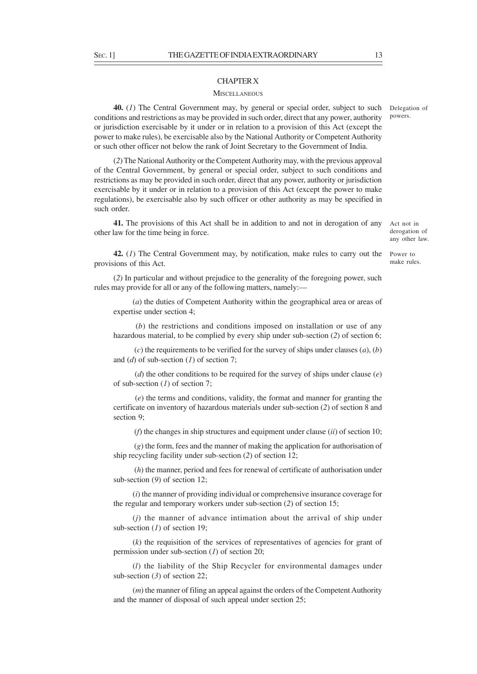### CHAPTER X

#### **MISCELLANEOUS**

**40.** (*1*) The Central Government may, by general or special order, subject to such Delegation of conditions and restrictions as may be provided in such order, direct that any power, authority or jurisdiction exercisable by it under or in relation to a provision of this Act (except the power to make rules), be exercisable also by the National Authority or Competent Authority or such other officer not below the rank of Joint Secretary to the Government of India.

(*2*) The National Authority or the Competent Authority may, with the previous approval of the Central Government, by general or special order, subject to such conditions and restrictions as may be provided in such order, direct that any power, authority or jurisdiction exercisable by it under or in relation to a provision of this Act (except the power to make regulations), be exercisable also by such officer or other authority as may be specified in such order.

**41.** The provisions of this Act shall be in addition to and not in derogation of any other law for the time being in force.

Act not in derogation of any other law.

make rules.

**42.** (*1*) The Central Government may, by notification, make rules to carry out the Power to provisions of this Act.

(*2*) In particular and without prejudice to the generality of the foregoing power, such rules may provide for all or any of the following matters, namely:—

(*a*) the duties of Competent Authority within the geographical area or areas of expertise under section 4;

 (*b*) the restrictions and conditions imposed on installation or use of any hazardous material, to be complied by every ship under sub-section (*2*) of section 6;

 (*c*) the requirements to be verified for the survey of ships under clauses (*a*), (*b*) and (*d*) of sub-section (*1*) of section 7;

 (*d*) the other conditions to be required for the survey of ships under clause (*e*) of sub-section (*1*) of section 7;

 (*e*) the terms and conditions, validity, the format and manner for granting the certificate on inventory of hazardous materials under sub-section (*2*) of section 8 and section 9;

(*f*) the changes in ship structures and equipment under clause (*ii*) of section 10;

 (*g*) the form, fees and the manner of making the application for authorisation of ship recycling facility under sub-section (*2*) of section 12;

 (*h*) the manner, period and fees for renewal of certificate of authorisation under sub-section (*9*) of section 12;

(*i*) the manner of providing individual or comprehensive insurance coverage for the regular and temporary workers under sub-section (*2*) of section 15;

(*j*) the manner of advance intimation about the arrival of ship under sub-section (*1*) of section 19;

(*k*) the requisition of the services of representatives of agencies for grant of permission under sub-section (*1*) of section 20;

(*l*) the liability of the Ship Recycler for environmental damages under sub-section (*3*) of section 22;

(*m*) the manner of filing an appeal against the orders of the Competent Authority and the manner of disposal of such appeal under section 25;

powers.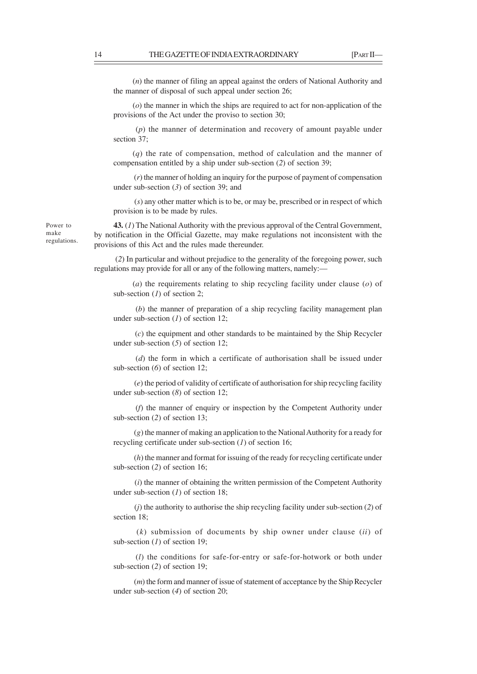(*n*) the manner of filing an appeal against the orders of National Authority and the manner of disposal of such appeal under section 26;

(*o*) the manner in which the ships are required to act for non-application of the provisions of the Act under the proviso to section 30;

 (*p*) the manner of determination and recovery of amount payable under section 37;

(*q*) the rate of compensation, method of calculation and the manner of compensation entitled by a ship under sub-section (*2*) of section 39;

 (*r*) the manner of holding an inquiry for the purpose of payment of compensation under sub-section (*3*) of section 39; and

 (*s*) any other matter which is to be, or may be, prescribed or in respect of which provision is to be made by rules.

**43.** (*1*) The National Authority with the previous approval of the Central Government, by notification in the Official Gazette, may make regulations not inconsistent with the provisions of this Act and the rules made thereunder.

 (*2*) In particular and without prejudice to the generality of the foregoing power, such regulations may provide for all or any of the following matters, namely:—

(*a*) the requirements relating to ship recycling facility under clause (*o*) of sub-section (*1*) of section 2;

 (*b*) the manner of preparation of a ship recycling facility management plan under sub-section (*1*) of section 12;

 (*c*) the equipment and other standards to be maintained by the Ship Recycler under sub-section (*5*) of section 12;

 (*d*) the form in which a certificate of authorisation shall be issued under sub-section (*6*) of section 12;

 (*e*) the period of validity of certificate of authorisation for ship recycling facility under sub-section (*8*) of section 12;

 (*f*) the manner of enquiry or inspection by the Competent Authority under sub-section (*2*) of section 13;

 (*g*) the manner of making an application to the National Authority for a ready for recycling certificate under sub-section (*1*) of section 16;

 (*h*) the manner and format for issuing of the ready for recycling certificate under sub-section (*2*) of section 16;

 (*i*) the manner of obtaining the written permission of the Competent Authority under sub-section (*1*) of section 18;

 (*j*) the authority to authorise the ship recycling facility under sub-section (*2*) of section 18;

 (*k*) submission of documents by ship owner under clause (*ii*) of sub-section (*1*) of section 19;

 (*l*) the conditions for safe-for-entry or safe-for-hotwork or both under sub-section (*2*) of section 19;

 (*m*) the form and manner of issue of statement of acceptance by the Ship Recycler under sub-section (*4*) of section 20;

Power to make regulations.